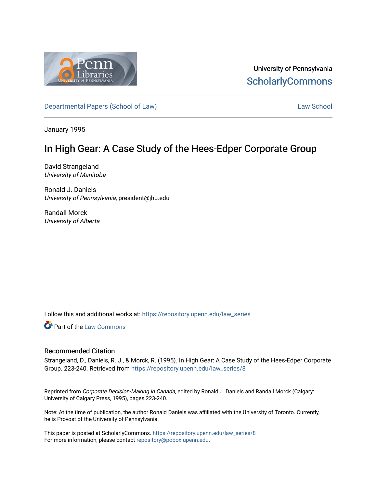

University of Pennsylvania **ScholarlyCommons** 

[Departmental Papers \(School of Law\)](https://repository.upenn.edu/law_series) and the control of [Law School](https://repository.upenn.edu/law) Law School Law School

January 1995

# In High Gear: A Case Study of the Hees-Edper Corporate Group

David Strangeland University of Manitoba

Ronald J. Daniels University of Pennsylvania, president@jhu.edu

Randall Morck University of Alberta

Follow this and additional works at: [https://repository.upenn.edu/law\\_series](https://repository.upenn.edu/law_series?utm_source=repository.upenn.edu%2Flaw_series%2F8&utm_medium=PDF&utm_campaign=PDFCoverPages)

**Part of the [Law Commons](http://network.bepress.com/hgg/discipline/578?utm_source=repository.upenn.edu%2Flaw_series%2F8&utm_medium=PDF&utm_campaign=PDFCoverPages)** 

### Recommended Citation

Strangeland, D., Daniels, R. J., & Morck, R. (1995). In High Gear: A Case Study of the Hees-Edper Corporate Group. 223-240. Retrieved from [https://repository.upenn.edu/law\\_series/8](https://repository.upenn.edu/law_series/8?utm_source=repository.upenn.edu%2Flaw_series%2F8&utm_medium=PDF&utm_campaign=PDFCoverPages)

Reprinted from Corporate Decision-Making in Canada, edited by Ronald J. Daniels and Randall Morck (Calgary: University of Calgary Press, 1995), pages 223-240.

Note: At the time of publication, the author Ronald Daniels was affiliated with the University of Toronto. Currently, he is Provost of the University of Pennsylvania.

This paper is posted at ScholarlyCommons. [https://repository.upenn.edu/law\\_series/8](https://repository.upenn.edu/law_series/8)  For more information, please contact [repository@pobox.upenn.edu.](mailto:repository@pobox.upenn.edu)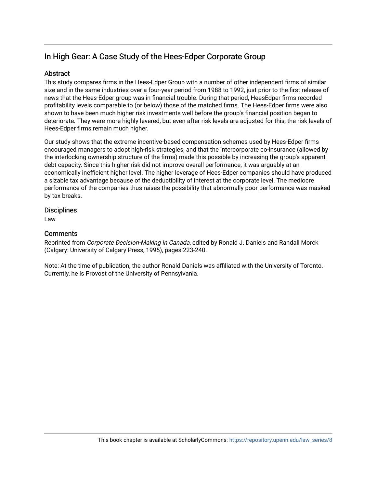# In High Gear: A Case Study of the Hees-Edper Corporate Group

## **Abstract**

This study compares firms in the Hees-Edper Group with a number of other independent firms of similar size and in the same industries over a four-year period from 1988 to 1992, just prior to the first release of news that the Hees-Edper group was in financial trouble. During that period, HeesEdper firms recorded profitability levels comparable to (or below) those of the matched firms. The Hees-Edper firms were also shown to have been much higher risk investments well before the group's financial position began to deteriorate. They were more highly levered, but even after risk levels are adjusted for this, the risk levels of Hees-Edper firms remain much higher.

Our study shows that the extreme incentive-based compensation schemes used by Hees-Edper firms encouraged managers to adopt high-risk strategies, and that the intercorporate co-insurance (allowed by the interlocking ownership structure of the firms) made this possible by increasing the group's apparent debt capacity. Since this higher risk did not improve overall performance, it was arguably at an economically inefficient higher level. The higher leverage of Hees-Edper companies should have produced a sizable tax advantage because of the deductibility of interest at the corporate level. The mediocre performance of the companies thus raises the possibility that abnormally poor performance was masked by tax breaks.

## **Disciplines**

Law

## **Comments**

Reprinted from Corporate Decision-Making in Canada, edited by Ronald J. Daniels and Randall Morck (Calgary: University of Calgary Press, 1995), pages 223-240.

Note: At the time of publication, the author Ronald Daniels was affiliated with the University of Toronto. Currently, he is Provost of the University of Pennsylvania.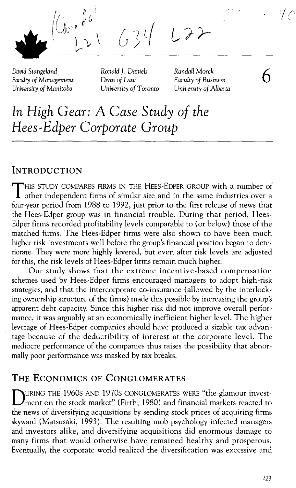$\left(\bigcup_{\alpha\in\mathbb{N}^*}\hat{\theta}^{\alpha}\right)$  $L22$  $\sqrt{r}$ 

*David Stangeland Faculty of Management University of Manitoba*

*Ronald]. Daniels Dean of Law University of Toronto* *Randall Morek Faculty of Business University of Alberta* 6

**In** *High Gear:* **A** *Case Study of the Hees--Edper Corporate Group*

## **INTRODUCTION**

THIS STUDY COMPARES FIRMS IN THE HEES-EDPER GROUP with <sup>a</sup> number of other independent firms of similar size and in the same industries over a four-year period from 1988 to 1992, just prior to the first release of news that the Hees-Edper group was in financial trouble. During that period, Hees-Edper firms recorded profitability levels comparable to (or below) those of the matched firms. The Hees-Edper firms were also shown to have been much higher risk investments well before the group's financial position began to deteriorate. They were more highly levered, but even after risk levels are adjusted for this, the risk levels of Hees-Edper firms remain much higher.

Our study shows that the extreme incentive-based compensation schemes used by Hees-Edper firms encouraged managers to adopt high-risk strategies, and that the intercorporate co-insurance (allowed by the interlocking ownership structure of the firms) made this possible by increasing the group's apparent debt capacity. Since this higher risk did not improve overall performance, it was arguably at an economically inefficient higher level. The higher leverage of Hees-Edper companies should have produced a sizable tax advantage because of the deductibility of interest at the corporate level. The mediocre performance of the companies thus raises the possibility that abnormally poor performance was masked by tax breaks.

## **THE ECONOMICS OF CONGLOMERATES**

DURING THE 1960s AND 1970s CONGLOMERATES WERE "the glamour investment on the stock market" (Firth, 1980) and financial markets reacted to the news of diversifying acquisitions by sending stock prices of acquiring firms skyward (Matsusaki, 1993). The resulting mob psychology infected managers and investors alike, and diversifying acquisitions did enormous damage to many firms that would otherwise have remained healthy and prosperous. Eventually, the corporate world realized the diversification was excessive and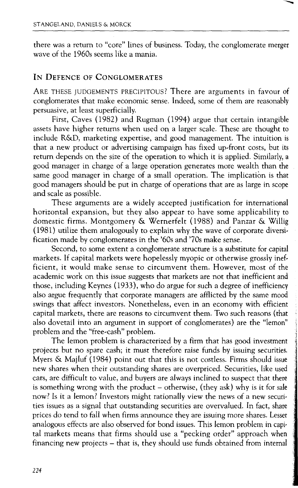there was a return to "core" lines of business. Today, the conglomerate merger wave of the 1960s seems like a mania.

### **IN** DEFENCE OF CONGLOMERATES

ARE THESE JUDGEMENTS PRECIPITOUS? There are arguments in favour of conglomerates that make economic sense. Indeed, some of them are reasonably persuasive, at least superficially.

First, Caves (1982) and Rugman (1994) argue that certain intangible assets have higher returns when used on a larger scale. These are thought to include R&D, marketing expertise, and good management. The intuition is that a new product or advertising campaign has fixed up-front costs, but its return depends on the size of the operation to which it is applied. Similarly, a good manager in charge of a large operation generates more wealth than the same good manager in charge of a small operation. The implication is that good managers should be put in charge of operations that are as large in scope and scale as possible.

These arguments are a widely accepted justification for international horizontal expansion, but they also appear to have some applicability to domestic firms. Montgomery & Wernerfelt (1988) and Panzar & Willig (1981) utilize them analogously to explain why the wave of corporate diversification made by conglomerates in the '60s and '70s make sense.

Second, to some extent a conglomerate structure is a substitute for capital markets. If capital markets were hopelessly myopic or otherwise grossly inefficient, it would make sense to circumvent them. However, most of the academic work on this issue suggests that markets are not that inefficient and those, including Keynes (1933), who do argue for such a degree of inefficiency also argue frequently that corporate managers are afflicted by the same mood swings that affect investors. Nonetheless, even in an economy with efficient capital markets, there are reasons to circumvent them. Two such reasons (that also dovetail into an argument in support of conglomerates) are the "lemon" problem and the "free-cash" problem.

The lemon problem is characterized by a firm that has good investment projects but no spare cash; it must therefore raise funds by issuing securities. Myers & Majluf (1984) point out that this is not costless. Firms should issue new shares when their outstanding shares are overpriced. Securities, like used cars, are difficult to value, and buyers are always inclined to suspect that there is something wrong with the product  $-$  otherwise, (they ask) why is it for sale now? Is it a lemon? Investors might rationally view the news of a new securities issues as a signal that outstanding securities are overvalued. In fact, share prices do tend to fall when firms announce they are issuing more shares. Lesser analogous effects are also observed for bond issues. This lemon problem in capital markets means that firms should use a "pecking order" approach when financing new projects - that is, they should use funds obtained from internal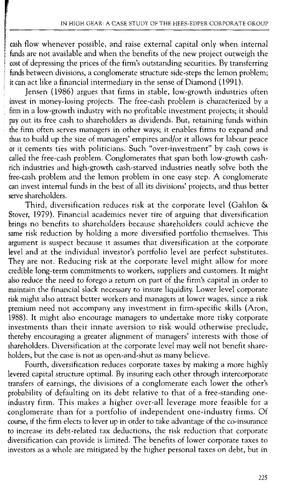cash flow whenever possible, and raise external capital only when internal funds are not available and when the benefits of the new project outweigh the cost of depressing the prices of the firm's outstanding securities. By transferring funds between divisions, a conglomerate structure side-steps the lemon problem; it can act like a financial intermediary in the sense of Diamond (1991).

Jensen (1986) argues that firms in stable, low-growth industries often invest in money-losing projects. The free-cash problem is characterized by a firm in a low-growth industry with no profitable investment projects; it should payout its free cash to shareholders as dividends. But, retaining funds within the firm often serves managers in other ways; it enables firms to expand and thus to build up the size of managers' empires and/or it allows for labour peace or it cements ties with politicians. Such "over-investment" by cash cows is called the free-cash problem. Conglomerates that span both low-growth cashrich industries and high-growth cash-starved industries neatly solve both the free-cash problem and the lemon problem in one easy step. A conglomerate can invest internal funds in the best of all its divisions' projects, and thus better serve shareholders.

Third, diversification reduces risk at the corporate level (Gahlon & Stover, 1979). Financial academics never tire of arguing that diversification brings no benefits to shareholders because shareholders could achieve the same risk reduction by holding a more diversified portfolio themselves. This argument is suspect because it assumes that diversification at the corporate level and at the individual investor's portfolio level are perfect substitutes. They are not. Reducing risk at the corporate level might allow for more credible long-term commitments to workers, suppliers and customers. It might also reduce the need to forego a return on part of the firm's capital in order to maintain the financial slack necessary to insure liquidity. Lower level corporate risk might also attract better workers and managers at lower wages, since a risk premium need not accompany any investment in firm-specific skills (Aron, 1988). It might also encourage managers to undertake more risky corporate investments than their innate aversion to risk would otherwise preclude, thereby encouraging a greater alignment of managers' interests with those of shareholders. Diversification at the corporate level may well not benefit shareholders, but the case is not as open-and-shut as many believe.

Fourth, diversification reduces corporate taxes by making a more highly levered capital structure optimal. By insuring each other through intercorporate transfers of earnings, the divisions of a conglomerate each lower the other's probability of defaulting on its debt relative to that of a free-standing oneindustry firm. This makes a higher over-all leverage more feasible for a conglomerate than for a portfolio of independent one-industry firms. Of course, if the firm elects to lever up in order to take advantage of the co-insurance to increase its debt-related tax deductions, the risk reduction that corporate diversification can provide is limited. The benefits of lower corporate taxes to investors as a whole are mitigated by the higher personal taxes on debt, but in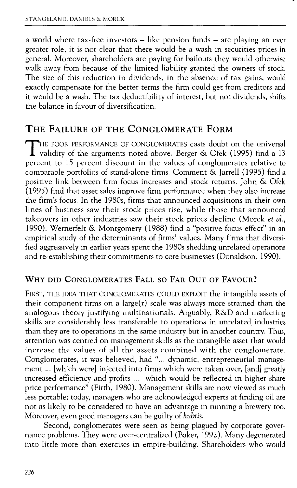a world where tax-free investors – like pension funds – are playing an ever greater role, it is not clear that there would be a wash in securities prices in general. Moreover, shareholders are paying for bailouts they would otherwise walk away from because of the limited liability granted the owners of stock. The size of this reduction in dividends, in the absence of tax gains, would exactly compensate for the better terms the firm could get from creditors and it would be a wash. The tax deductibility of interest, but not dividends, shifts the balance in favour of diversification.

## THE FAILURE OF THE CONGLOMERATE FORM

THE POOR PERFORMANCE OF CONGLOMERATES casts doubt on the universal<br>validity of the arguments noted above. Berger & Ofek (1995) find a 13 percent to 15 percent discount in the values of conglomerates relative to comparable portfolios of stand-alone firms. Comment & Jarrell (1995) find a positive link between firm focus increases and stock returns. John & Ofek (1995) find that asset sales improve firm performance when they also increase the firm's focus. In the *1980s,* firms that announced acquisitions in their own lines of business saw their stock prices rise, while those that announced takeovers in other industries saw their stock prices decline (Morck *et al.,* 1990). Wernerfelt & Montgomery (1988) find a "positive focus effect" in an empirical study of the determinants of firms' values. Many firms that diversified aggressively in earlier years spent the *1980s* shedding unrelated operations and re-establishing their commitments to core businesses (Donaldson, 1990).

### WHY DID CONGLOMERATES FALL SO FAR OUT OF FAVOUR?

FIRST, THE IDEA THAT CONGLOMERATES COULD EXPLOIT the intangible assets of their component firms on a large(r) scale was always more strained than the analogous theory justifying multinationals. Arguably, R&D and marketing skills are considerably less transferable to operations in unrelated industries than they are to operations in the same industry but in another country. Thus, attention was centred on management skills as the intangible asset that would increase the values of all the assets combined with the conglomerate. Conglomerates, it was believed, had "... dynamic, entrepreneurial management ... [which were] injected into firms which were taken over, [and] greatly increased efficiency and profits ... which would be reflected in higher share price performance" (Firth, 1980). Management skills are now viewed as much less portable; today, managers who are acknowledged experts at finding oil are not as likely to be considered to have an advantage in running a brewery too. Moreover, even good managers can be guilty of *hubris.*

Second, conglomerates were seen as being plagued by corporate governance problems. They were over-centralized (Baker, 1992). Many degenerated into little more than exercises in empire-building. Shareholders who would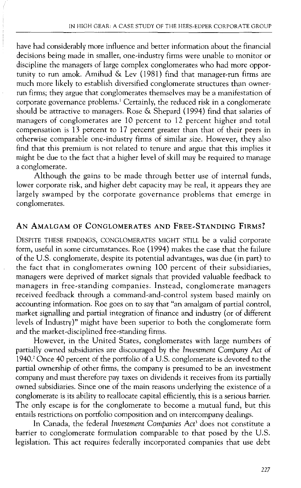have had considerably more influence and better information about the financial decisions being made in smaller, one-industry firms were unable to monitor or discipline the managers of large complex conglomerates who had more opportunity to run amok. Amihud & Lev (1981) find that manager-run firms are much more likely to establish diversified conglomerate structures than ownerrun firms; they argue that conglomerates themselves may be a manifestation of corporate governance problems.<sup>1</sup> Certainly, the reduced risk in a conglomerate should be attractive to managers. Rose & Shepard (1994) find that salaries of managers of conglomerates are 10 percent to 12 percent higher and total compensation is 13 percent to 17 percent greater than that of their peers in otherwise comparable one-industry firms of similar size. However, they also find that this premium is not related to tenure and argue that this implies it might be due to the fact that a higher level of skill may be required to manage a conglomerate.

Although the gains to be made through better use of internal funds, lower corporate risk, and higher debt capacity may be real, it appears they are largely swamped by the corporate governance problems that emerge in conglomerates.

### AN AMALGAM OF CONGLOMERATES AND FREE-STANDING FIRMS?

DESPITE THESE FINDINGS, CONGLOMERATES MIGHT STILL be a valid corporate form, useful in some circumstances. Roe (1994) makes the case that the failure of the U.S. conglomerate, despite its potential advantages, was due (in part) to the fact that in conglomerates owning 100 percent of their subsidiaries, managers were deprived of market signals that provided valuable feedback to managers in free-standing companies. Instead, conglomerate managers received feedback through a command-and-control system based mainly on accounting information. Roe goes on to say that "an amalgam of partial control, market signalling and partial integration of finance and industry (or of different levels of Industry)" might have been superior to both the conglomerate form and the market-disciplined free-standing firms.

However, in the United States, conglomerates with large numbers of partially owned subsidiaries are discouraged by the *Investment Company Act* of 1940.1 Once 40 percent of the portfolio of a U.S. conglomerate is devoted to the partial ownership of other firms, the company is presumed to be an investment company and must therefore pay taxes on dividends it receives from its partially owned subsidiaries. Since one of the main reasons underlying the existence of a conglomerate is its ability to reallocate capital efficiently, this is a serious barrier. The only escape is for the conglomerate to become a mutual fund, but this entails restrictions on portfolio composition and on intercompany dealings.

In Canada, the federal *Investment Companies Act)* does not constitute a barrier to conglomerate formulation comparable to that posed by the U.S. legislation. This act requires federally incorporated companies that use debt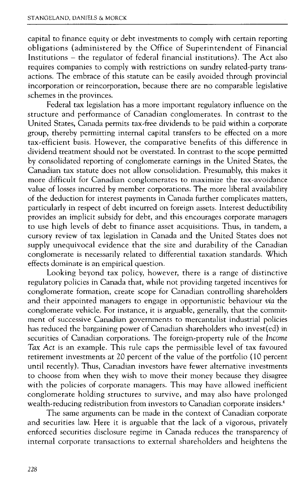capital to finance equity or debt investments to comply with certain reporting obligations (administered by the Office of Superintendent of Financial Institutions - the regulator of federal financial institutions). The Act also requires companies to comply with restrictions on sundry related-party transactions. The embrace of this statute can be easily avoided through provincial incorporation or reincorporation, because there are no comparable legislative schemes in the provinces.

Federal tax legislation has a more important regulatory influence on the structure and performance of Canadian conglomerates. In contrast to the United States, Canada permits tax-free dividends to be paid within a corporate group, thereby permitting internal capital transfers to be effected on a more tax-efficient basis. However, the comparative benefits of this difference in dividend treatment should not be overstated. In contrast to the scope permitted by consolidated reporting of conglomerate earnings in the United States, the Canadian tax statute does not allow consolidation. Presumably, this makes it more difficult for Canadian conglomerates to maximize the tax-avoidance value of losses incurred by member corporations. The more liberal availability of the deduction for interest payments in Canada further complicates matters, particularly in respect of debt incurred on foreign assets. Interest deductibility provides an implicit subsidy for debt, and this encourages corporate managers to use high levels of debt to finance asset acquisitions. Thus, in tandem, a cursory review of tax legislation in Canada and the United States does not supply unequivocal evidence that the size and durability of the Canadian conglomerate is necessarily related to differential taxation standards. Which effects dominate is an empirical question.

Looking beyond tax policy, however, there is a range of distinctive regulatory policies in Canada that, while not providing targeted incentives for conglomerate formation, create scope for Canadian controlling shareholders and their appointed managers to engage in opportunistic behaviour *via* the conglomerate vehicle. For instance, it is arguable, generally, that the commitment of successive Canadian governments to mercantalist industrial policies has reduced the bargaining power of Canadian shareholders who invest(ed) in securities of Canadian corporations. The foreign-property rule of the Income *Tax Act* is an example. This rule caps the permissible level of tax favoured retirement investments at 20 percent of the value of the portfolio (10 percent until recently). Thus, Canadian investors have fewer alternative investments to choose from when they wish to move their money because they disagree with the policies of corporate managers. This may have allowed inefficient conglomerate holding structures to survive, and may also have prolonged wealth-reducing redistribution from investors to Canadian corporate insiders.<sup>4</sup>

The same arguments can be made in the context of Canadian corporate and securities law. Here it is arguable that the lack of a vigorous, privately enforced securities disclosure regime in Canada reduces the transparency of internal corporate transactions to external shareholders and heightens the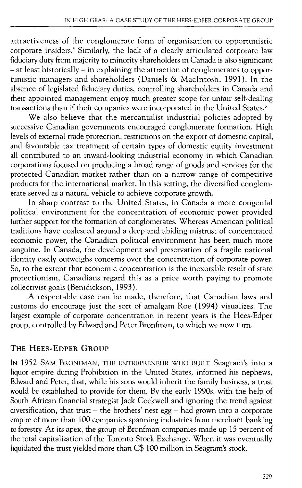attractiveness of the conglomerate form of organization to opportunistic corporate insiders.<sup>5</sup> Similarly, the lack of a clearly articulated corporate law fiduciary duty from majority to minority shareholders in Canada is also significant  $-$  at least historically  $-$  in explaining the attraction of conglomerates to opportunistic managers and shareholders (Daniels & MacIntosh, 1991). In the absence of legislated fiduciary duties, controlling shareholders in Canada and their appointed management enjoy much greater scope for unfair self-dealing their appointed management enjoy much grower steps for similar to account transactions than if their companies were incorporated in the United States.<sup>6</sup>

We also believe that the mercantalist industrial policies adopted by successive Canadian governments encouraged conglomerate formation. High levels of external trade protection, restrictions on the export of domestic capital, and favourable tax treatment of certain types of domestic equity investment all contributed to an inward-looking industrial economy in which Canadian corporations focused on producing a broad range of goods and services for the protected Canadian market rather than on a narrow range of competitive products for the international market. In this setting, the diversified conglomerate served as a natural vehicle to achieve corporate growth.

In sharp contrast to the United States, in Canada a more congenial political environment for the concentration of economic power provided further support for the formation of conglomerates. Whereas American political traditions have coalesced around a deep and abiding mistrust of concentrated economic power, the Canadian political environment has been much more sanguine. In Canada, the development and preservation of a fragile national identity easily outweighs concerns over the concentration of corporate power. So, to the extent that economic concentration is the inexorable result of state protectionism, Canadians regard this as a price worth paying to promote collectivist goals (Benidickson, 1993).

A respectable case can be made, therefore, that Canadian laws and customs do encourage just the sort of amalgam Roe (1994) visualizes. The largest example of corporate concentration in recent years is the Hees-Edper group, controlled by Edward and Peter Bronfman, to which we now turn.

## THE HEES~EDPER GROUP

IN 1952 SAM BRONFMAN, THE ENTREPRENEUR WHO BUILT Seagram's into a liquor empire during Prohibition in the United States, informed his nephews, Edward and Peter, that, while his sons would inherit the family business, a trust would be established to provide for them. By the early 1990s, with the help of South African financial strategist Jack Cockwell and ignoring the trend against diversification, that trust – the brothers' nest egg – had grown into a corporate empire of more than 100 companies spanning industries from merchant banking to forestry. At its apex, the group of Bronfman companies made up 15 percent of the total capitalization of the Toronto Stock Exchange. When it was eventually liquidated the trust yielded more than C\$ 100 million in Seagram's stock.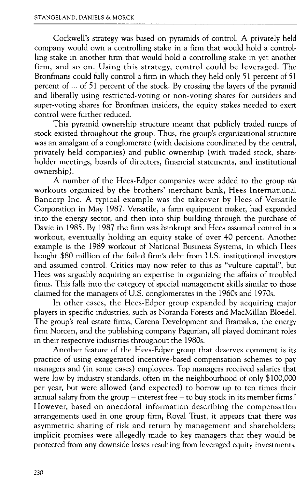Cockwell's strategy was based on pyramids of control. A privately held company would own a controlling stake in a firm that would hold a controlling stake in another firm that would hold a controlling stake in yet another firm, and so on. Using this strategy, control could be leveraged. The Bronfmans could fully control a firm in which they held only 51 percent of 51 percent of ... of 51 percent of the stock. By crossing the layers of the pyramid and liberally using restricted-voting or non-voting shares for outsiders and super-voting shares for Bronfman insiders, the equity stakes needed to exert control were further reduced.

This pyramid ownership structure meant that publicly traded rumps of stock existed throughout the group. Thus, the group's organizational structure was an amalgam of a conglomerate (with decisions coordinated by the central, privately held companies) and public ownership (With traded stock, shareholder meetings, boards of directors, financial statements, and institutional ownership).

A number of the Hees-Edper companies were added to the group *via* workouts organized by the brothers' merchant bank, Hees International Bancorp Inc. A typical example was the takeover by Hees of Versatile Corporation in May 1987. Versatile, a farm equipment maker, had expanded into the energy sector, and then into ship building through the purchase of Davie in 1985. By 1987 the firm was bankrupt and Hees assumed control in a workout, eventually holding an equity stake of over 40 percent. Another example is the 1989 workout of National Business Systems, in which Hees bought \$80 million of the failed firm's debt from U.S. institutional investors and assumed control. Critics may now refer to this as "vulture capital", but Hees was arguably acquiring an expertise in organizing the affairs of troubled firms. This falls into the category of special management skills similar to those claimed for the managers of U.S. conglomerates in the 1960s and 1970s.

In other cases, the Hees-Edper group expanded by acquiring major players in specific industries, such as Noranda Forests and MacMillan Bloedel. The group's real estate firms, Carena Development and Bramalea, the energy firm Norcen, and the publishing company Pagurian, all played dominant roles in their respective industries throughout the 1980s.

Another feature of the Hees-Edper group that deserves comment is its practice of using exaggerated incentive-based compensation schemes to pay managers and (in some cases) employees. Top managers received salaries that were low by industry standards, often in the neighbourhood of only \$100,000 per year, but were allowed (and expected) to borrow up to ten times their annual salary from the group – interest free – to buy stock in its member firms.<sup>7</sup> However, based on anecdotal information describing the compensation arrangements used in one group firm, Royal Trust, it appears that there was asymmetric sharing of risk and return by management and shareholders; implicit promises were allegedly made to key managers that they would be protected from any downside losses resulting from leveraged equity investments,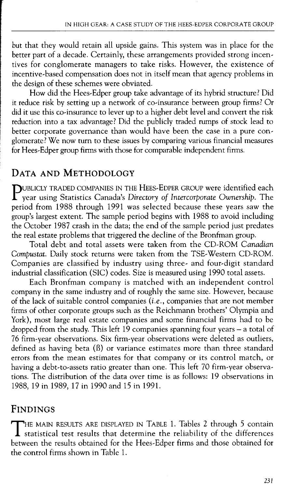but that they would retain all upside gains. This system was in place for the better part of a decade. Certainly, these arrangements provided strong incentives for conglomerate managers to take risks. However, the existence of incentive-based compensation does not in itself mean that agency problems in the design of these schemes were obviated.

How did the Hees-Edper group take advantage of its hybrid structure? Did it reduce risk by setting up a network of co-insurance between group firms? Or did it use this co-insurance to lever up to a higher debt level and convert the risk reduction into a tax advantage? Did the publicly traded rumps of stock lead to better corporate governance than would have been the case in a pure conglomerate? We now turn to these issues by comparing various financial measures for Hees-Edper group firms with those for comparable independent firms.

## **DATA AND METHODOLOGY**

PUBLICLY TRADED COMPANIES IN THE HEES-EDPER GROUP were identified each year using Statistics Canada's *Directory of Intercorporate Ownership.* The period from 1988 through 1991 was selected because these years saw the group's largest extent. The sample period begins with 1988 to avoid including the October 1987 crash in the data; the end of the sample period just predates the real estate problems that triggered the decline of the Bronfman group.

Total debt and total assets were taken from the CD-ROM *Canadian Compustat.* Daily stock returns were taken from the TSE-Western CD-ROM. Companies are classified by industry using three- and four-digit standard industrial classification (SIC) codes. Size is measured using 1990 total assets.

Each Bronfman company is matched with an independent control company in the same industry and of roughly the same size. However, because of the lack of suitable control companies *(i.e.,* companies that are not member firms of other corporate groups such as the Reichmann brothers' Olympia and York), most large real estate companies and some financial firms had to be dropped from the study. This left  $19$  companies spanning four years – a total of 76 firm-year observations. Six firm-year observations were deleted as outliers, defined as having beta (8) or variance estimates more than three standard errors from the mean estimates for that company or its control match, or having a debt-to-assets ratio greater than one. This left 70 firm-year observations. The distribution of the data over time is as follows: 19 observations in 1988, 19 in 1989, 17 in 1990 and 15 in 1991.

## **FINDINGS**

THE MAIN RESULTS ARE DISPLAYED IN TABLE 1. Tables 2 through 5 contain<br>statistical test results that determine the reliability of the differences between the results obtained for the Hees-Edper firms and those obtained for the control firms shown in Table 1.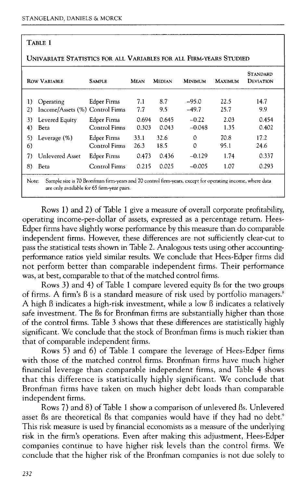### TABLE 1

| <b>ROW VARIABLE</b>                                      | Sample                              | <b>MEAN</b>    | <b>MEDIAN</b>  | <b>MINIMUM</b>      | MAXIMUM      | <b>STANDARD</b><br>DEVIATION |
|----------------------------------------------------------|-------------------------------------|----------------|----------------|---------------------|--------------|------------------------------|
| 1)<br>Operating<br>Income/Assets (%) Control Firms<br>2) | Edper Firms                         | 7.1<br>7.7     | 8.7<br>9.5     | $-95.0$<br>$-49.7$  | 22.5<br>25.7 | 14.7<br>9.9                  |
| Levered Equity<br>3)<br>Beta<br>4)                       | Edper Firms<br>Control Firms        | 0.694<br>0.303 | 0.645<br>0.043 | $-0.22$<br>$-0.048$ | 2.03<br>1.35 | 0.454<br>0.402               |
| Leverage $(\%)$<br>5)<br>6)                              | <b>Edper Firms</b><br>Control Firms | 33.1<br>26.3   | 32.6<br>18.5   | $\Omega$<br>0       | 70.8<br>95.1 | 17.2<br>24.6                 |
| Unlevered Asset<br>7)                                    | <b>Edper Firms</b>                  | 0.473          | 0.436          | $-0.129$            | 1.74         | 0.337                        |
| 8)<br>Beta                                               | Control Firms                       | 0.215          | 0.025          | $-0.005$            | 1.07         | 0.293                        |

#### UNIVARIATE STATISTICS FOR ALL VARIABLES FOR ALL FIRM-YEARS STUDIED

Rows 1) and 2) of Table 1 give a measure of overall corporate profitability, operating income-per-dollar of assets, expressed as a percentage return. Hees-Edper firms have slightly worse performance by this measure than do comparable independent firms. However, these differences are not sufficiently clear-cut to pass the statistical tests shown in Table 2. Analogous tests using other accountingperformance ratios yield similar results. We conclude that Hees-Edper firms did not perform better than comparable independent firms. Their performance was, at best, comparable to that of the matched control firms.

Rows 3) and 4) of Table 1 compare levered equity Bs for the two groups of firms. A firm's B is a standard measure of risk used by portfolio managers.<sup>8</sup> A high  $\beta$  indicates a high-risk investment, while a low  $\beta$  indicates a relatively safe investment. The Bs for Bronfman firms are substantially higher than those of the control firms. Table 3 shows that these differences are statistically highly significant. We conclude that the stock of Bronfman firms is much riskier than that of comparable independent firms.

Rows 5) and 6) of Table 1 compare the leverage of Hees-Edper firms with those of the matched control firms. Bronfman firms have much higher financial leverage than comparable independent firms, and Table 4 shows that this difference is statistically highly significant. We conclude that Bronfman firms have taken on much higher debt loads than comparable independent firms.

Rows 7) and 8) of Table 1 show a comparison of unlevered Bs. Unlevered asset ßs are theoretical ßs that companies would have if they had no debt.<sup>9</sup> This risk measure is used by financial economists as a measure of the underlying risk in the firm's operations. Even after making this adjustment, Hees-Edper companies continue to have higher risk levels than the control firms. We conclude that the higher risk of the Bronfman companies is not due solely to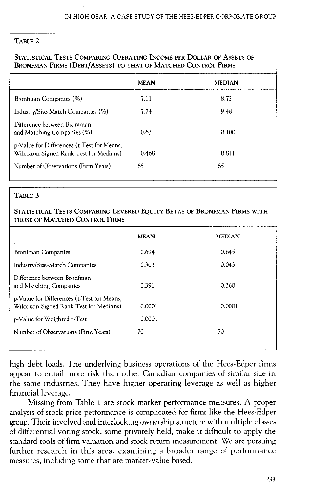### TABLE 2

### STATISTICAL TESTS COMPARING OPERATING INCOME PER DOLLAR OF ASSETS OF BRONFMAN FIRMS (DEBT/AsSETS) TO THAT OF MATCHED CONTROL FIRMS

|                                                                                      | <b>MEAN</b> | <b>MEDIAN</b> |
|--------------------------------------------------------------------------------------|-------------|---------------|
| Bronfman Companies (%)                                                               | 7.11        | 8.72          |
| Industry/Size-Match Companies (%)                                                    | 7.74        | 9.48          |
| Difference between Bronfman<br>and Matching Companies (%)                            | 0.63        | 0.100         |
| p-Value for Differences (t-Test for Means,<br>Wilcoxon Signed Rank Test for Medians) | 0.468       | 0.811         |
| Number of Observations (Firm Years)                                                  | 65          | 65            |
|                                                                                      |             |               |

### TABLE 3

### STATISTICAL TESTS COMPARING LEVERED EQUITY BETAS OF BRONFMAN FIRMS WITH THOSE OF MATCHED CONTROL FIRMS

|                                                                                      | <b>MEAN</b> | <b>MEDIAN</b> |
|--------------------------------------------------------------------------------------|-------------|---------------|
| <b>Bronfman Companies</b>                                                            | 0.694       | 0.645         |
| Industry/Size-Match Companies                                                        | 0.303       | 0.043         |
| Difference between Bronfman<br>and Matching Companies                                | 0.391       | 0.360         |
| p-Value for Differences (t-Test for Means,<br>Wilcoxon Signed Rank Test for Medians) | 0.0001      | 0.0001        |
| p-Value for Weighted t-Test                                                          | 0.0001      |               |
| Number of Observations (Firm Years)                                                  | 70          | 70            |
|                                                                                      |             |               |

high debt loads. The underlying business operations of the Hees-Edper firms appear to entail more risk than other Canadian companies of similar size in the same industries. They have higher operating leverage as well as higher financial leverage.

Missing from Table 1 are stock market performance measures. A proper analysis of stock price performance is complicated for firms like the Hees-Edper group. Their involved and interlocking ownership structure with multiple classes of differential voting stock, some privately held, make it difficult to apply the standard tools of firm valuation and stock return measurement. We are pursuing further research in this area, examining a broader range of performance measures, including some that are market-value based.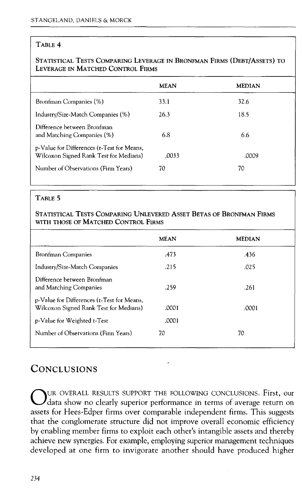### TABLE 4

### STATISTICAL TESTS COMPARING LEVERAGE IN BRONFMAN FIRMS (DEBT/AsSETS) TO LEVERAGE IN MATCHED CONTROL FIRMS

|                                                                                      | <b>MEAN</b> | <b>MEDIAN</b> |  |
|--------------------------------------------------------------------------------------|-------------|---------------|--|
| Bronfman Companies (%)                                                               | 33.1        | 32.6          |  |
| Industry/Size-Match Companies (%)                                                    | 26.3        | 18.5          |  |
| Difference between Bronfman<br>and Matching Companies (%)                            | 6.8         | 6.6           |  |
| p-Value for Differences (t-Test for Means,<br>Wilcoxon Signed Rank Test for Medians) | .0033       | .0009         |  |
| Number of Observations (Firm Years)                                                  | 70          | 70            |  |

### TABLE 5

#### STATISTICAL TESTS COMPARING UNLEVERED ASSET BETAS OF BRONFMAN FIRMS WITH THOSE OF MATCHED CONTROL FIRMS

|                                                                                      | <b>MEAN</b> | <b>MEDIAN</b> |
|--------------------------------------------------------------------------------------|-------------|---------------|
| <b>Bronfman Companies</b>                                                            | .473        | .436          |
| Industry/Size-Match Companies                                                        | .215        | .025          |
| Difference between Bronfman<br>and Matching Companies                                | .259        | .261          |
| p-Value for Differences (t-Test for Means,<br>Wilcoxon Signed Rank Test for Medians) | .0001       | .0001         |
| p-Value for Weighted t-Test                                                          | .0001       |               |
| Number of Observations (Firm Years)                                                  | 70          | 70            |

## **CONCLUSIONS**

OUR OVERALL RESULTS SUPPORT THE FOLLOWING CONCLUSIONS. First, our data show no clearly superior performance in terms of average return on assets for Hees-Edper firms over comparable independent firms. This suggests that the conglomerate structure did not improve overall economic efficiency by enabling member firms to exploit each other's intangible assets and thereby achieve new synergies. For example, employing superior management techniques developed at one firm to invigorate another should have produced higher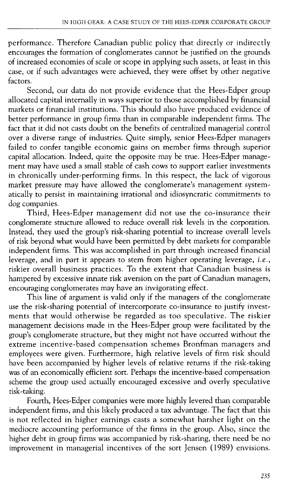performance. Therefore Canadian public policy that directly or indirectly encourages the formation of conglomerates cannot be justified on the grounds of increased economies of scale or scope in applying such assets, at least in this case, or if such advantages were achieved, they were offset by other negative factors.

Second, our data do not provide evidence that the Hees-Edper group allocated capital internally in ways superior to those accomplished by financial markets or financial institutions. This should also have produced evidence of better performance in group firms than in comparable independent firms. The fact that it did not casts doubt on the benefits of centralized managerial control over a diverse range of industries. Quite simply, senior Hees-Edper managers failed to confer tangible economic gains on member firms through superior capital allocation. Indeed, quite the opposite may be true. Hees-Edper management may have used a small stable of cash cows to support earlier investments in chronically under-performing firms. In this respect, the lack of vigorous market pressure may have allowed the conglomerate's management systematically to persist in maintaining irrational and idiosyncratic commitments to dog companies.

Third, Hees-Edper management did not use the co-insurance their conglomerate structure allowed to reduce overall risk levels in the corporation. Instead, they used the group's risk-sharing potential to increase overall levels of risk beyond what would have been permitted by debt markets for comparable independent firms. This was accomplished in part through increased financial leverage, and in part it appears to stem from higher operating leverage, *i.e.,* riskier overall business practices. To the extent that Canadian business is hampered by excessive innate risk aversion on the part of Canadian managers, encouraging conglomerates may have an invigorating effect.

This line of argument is valid only if the managers of the conglomerate use the risk-sharing potential of intercorporate co-insurance to justify investments that would otherwise be regarded as too speculative. The riskier management decisions made in the Hees-Edper group were facilitated by the group's conglomerate structure, but they might not have occurred without the extreme incentive-based compensation schemes Bronfman managers and employees were given. Furthermore, high relative levels of firm risk should have been accompanied by higher levels of relative returns if the risk-taking was of an economically efficient sort. Perhaps the incentive-based compensation scheme the group used actually encouraged excessive and overly speculative risk-taking.

Fourth, Hees-Edper companies were more highly levered than comparable independent firms, and this likely produced a tax advantage. The fact that this is not reflected in higher earnings casts a somewhat harsher light on the mediocre accounting performance of the firms in the group. Also, since the higher debt in group firms was accompanied by risk-sharing, there need be no improvement in managerial incentives of the sort Jensen (1989) envisions.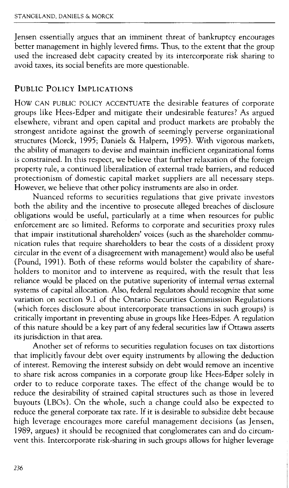Jensen essentially argues that an imminent threat of bankruptcy encourages better management in highly levered firms. Thus, to the extent that the group used the increased debt capacity created by its intercorporate risk sharing to avoid taxes, its social benefits are more questionable.

## PUBLIC POLICY IMPLICATIONS

How CAN PUBLIC POLICY ACCENTUATE the desirable features of corporate groups like Hees-Edper and mitigate their undesirable features? As argued elsewhere, vibrant and open capital and product markets are probably the strongest antidote against the growth of seemingly perverse organizational structures (Morck, 1995; Daniels & Halpern, 1995). With vigorous markets, the ability of managers to devise and maintain inefficient organizational forms is constrained. In this respect, we believe that further relaxation of the foreign property rule, a continued liberalization of external trade barriers, and reduced protectionism of domestic capital market suppliers are all necessary steps. However, we believe that other policy instruments are also in order.

Nuanced reforms to securities regulations that give private investors both the ability and the incentive to prosecute alleged breaches of disclosure obligations would be useful, particularly at a time when resources for public enforcement are so limited. Reforms to corporate and securities proxy rules that impair institutional shareholders' voices (such as the shareholder communication rules that require shareholders to bear the costs of a dissident proxy circular in the event of a disagreement with management) would also be useful (Pound, 1991). Both of these reforms would bolster the capability of shareholders to monitor and to intervene as required, with the result that less reliance would be placed on the putative superiority of internal *versus* external systems of capital allocation. Also, federal regulators should recognize that some variation on section 9.1 of the Ontario Securities Commission Regulations (which forces disclosure about intercorporate transactions in such groups) is critically important in preventing abuse in groups like Hees-Edper. A regulation of this nature should be a key part of any federal securities law if Ottawa asserts its jurisdiction in that area.

Another set of reforms to securities regulation focuses on tax distortions that implicitly favour debt over equity instruments by allowing the deduction of interest. Removing the interest subsidy on debt would remove an incentive to share risk across companies in a corporate group like Hees-Edper solely in order to to reduce corporate taxes. The effect of the change would be to reduce the desirability of strained capital structures such as those in levered buyouts (LBOs). On the whole, such a change could also be expected to reduce the general corporate tax rate. If it is desirable to subsidize debt because high leverage encourages more careful management decisions (as Jensen, 1989, argues) it should be recognized that conglomerates can and do circumvent this. Intercorporate risk-sharing in such groups allows for higher leverage